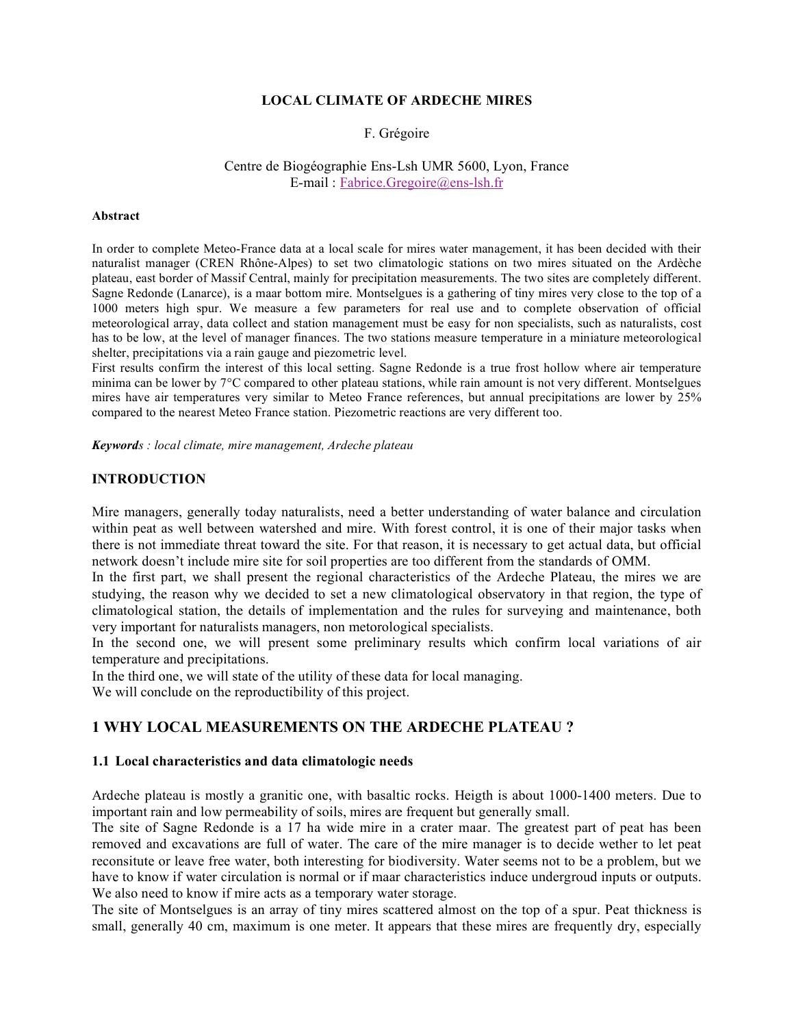## **LOCAL CLIMATE OF ARDECHE MIRES**

#### F. Grégoire

#### Centre de Biogéographie Ens-Lsh UMR 5600, Lyon, France E-mail : Fabrice.Gregoire@ens-lsh.fr

#### **Abstract**

In order to complete Meteo-France data at a local scale for mires water management, it has been decided with their naturalist manager (CREN Rhône-Alpes) to set two climatologic stations on two mires situated on the Ardèche plateau, east border of Massif Central, mainly for precipitation measurements. The two sites are completely different. Sagne Redonde (Lanarce), is a maar bottom mire. Montselgues is a gathering of tiny mires very close to the top of a 1000 meters high spur. We measure a few parameters for real use and to complete observation of official meteorological array, data collect and station management must be easy for non specialists, such as naturalists, cost has to be low, at the level of manager finances. The two stations measure temperature in a miniature meteorological shelter, precipitations via a rain gauge and piezometric level.

First results confirm the interest of this local setting. Sagne Redonde is a true frost hollow where air temperature minima can be lower by 7°C compared to other plateau stations, while rain amount is not very different. Montselgues mires have air temperatures very similar to Meteo France references, but annual precipitations are lower by 25% compared to the nearest Meteo France station. Piezometric reactions are very different too.

*Keywords : local climate, mire management, Ardeche plateau*

#### **INTRODUCTION**

Mire managers, generally today naturalists, need a better understanding of water balance and circulation within peat as well between watershed and mire. With forest control, it is one of their major tasks when there is not immediate threat toward the site. For that reason, it is necessary to get actual data, but official network doesn't include mire site for soil properties are too different from the standards of OMM.

In the first part, we shall present the regional characteristics of the Ardeche Plateau, the mires we are studying, the reason why we decided to set a new climatological observatory in that region, the type of climatological station, the details of implementation and the rules for surveying and maintenance, both very important for naturalists managers, non metorological specialists.

In the second one, we will present some preliminary results which confirm local variations of air temperature and precipitations.

In the third one, we will state of the utility of these data for local managing.

We will conclude on the reproductibility of this project.

# **1 WHY LOCAL MEASUREMENTS ON THE ARDECHE PLATEAU ?**

#### **1.1 Local characteristics and data climatologic needs**

Ardeche plateau is mostly a granitic one, with basaltic rocks. Heigth is about 1000-1400 meters. Due to important rain and low permeability of soils, mires are frequent but generally small.

The site of Sagne Redonde is a 17 ha wide mire in a crater maar. The greatest part of peat has been removed and excavations are full of water. The care of the mire manager is to decide wether to let peat reconsitute or leave free water, both interesting for biodiversity. Water seems not to be a problem, but we have to know if water circulation is normal or if maar characteristics induce undergroud inputs or outputs. We also need to know if mire acts as a temporary water storage.

The site of Montselgues is an array of tiny mires scattered almost on the top of a spur. Peat thickness is small, generally 40 cm, maximum is one meter. It appears that these mires are frequently dry, especially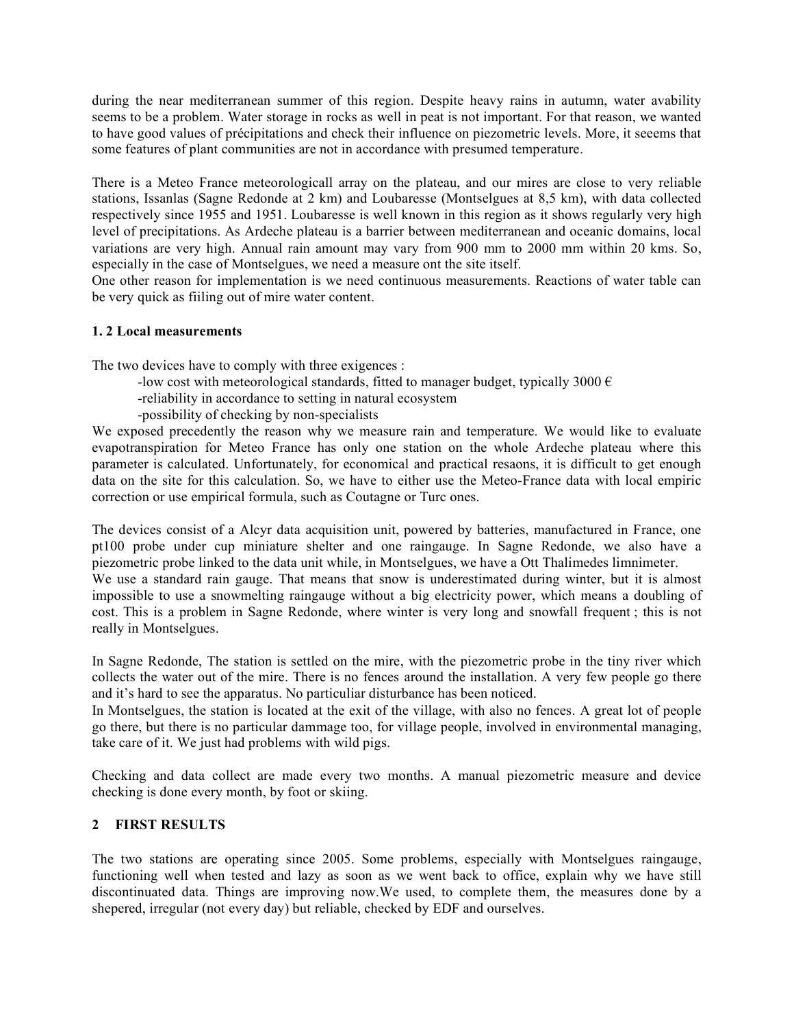during the near mediterranean summer of this region. Despite heavy rains in autumn, water avability seems to be a problem. Water storage in rocks as well in peat is not important. For that reason, we wanted to have good values of précipitations and check their influence on piezometric levels. More, it seeems that some features of plant communities are not in accordance with presumed temperature.

There is a Meteo France meteorologicall array on the plateau, and our mires are close to very reliable stations, Issanlas (Sagne Redonde at 2 km) and Loubaresse (Montselgues at 8,5 km), with data collected respectively since 1955 and 1951. Loubaresse is well known in this region as it shows regularly very high level of precipitations. As Ardeche plateau is a barrier between mediterranean and oceanic domains, local variations are very high. Annual rain amount may vary from 900 mm to 2000 mm within 20 kms. So, especially in the case of Montselgues, we need a measure ont the site itself.

One other reason for implementation is we need continuous measurements. Reactions of water table can be very quick as fiiling out of mire water content.

# **1. 2 Local measurements**

The two devices have to comply with three exigences :

- -low cost with meteorological standards, fitted to manager budget, typically 3000  $\epsilon$
- -reliability in accordance to setting in natural ecosystem
- -possibility of checking by non-specialists

We exposed precedently the reason why we measure rain and temperature. We would like to evaluate evapotranspiration for Meteo France has only one station on the whole Ardeche plateau where this parameter is calculated. Unfortunately, for economical and practical resaons, it is difficult to get enough data on the site for this calculation. So, we have to either use the Meteo-France data with local empiric correction or use empirical formula, such as Coutagne or Turc ones.

The devices consist of a Alcyr data acquisition unit, powered by batteries, manufactured in France, one pt100 probe under cup miniature shelter and one raingauge. In Sagne Redonde, we also have a piezometric probe linked to the data unit while, in Montselgues, we have a Ott Thalimedes limnimeter. We use a standard rain gauge. That means that snow is underestimated during winter, but it is almost impossible to use a snowmelting raingauge without a big electricity power, which means a doubling of cost. This is a problem in Sagne Redonde, where winter is very long and snowfall frequent ; this is not

really in Montselgues.

In Sagne Redonde, The station is settled on the mire, with the piezometric probe in the tiny river which collects the water out of the mire. There is no fences around the installation. A very few people go there and it's hard to see the apparatus. No particuliar disturbance has been noticed.

In Montselgues, the station is located at the exit of the village, with also no fences. A great lot of people go there, but there is no particular dammage too, for village people, involved in environmental managing, take care of it. We just had problems with wild pigs.

Checking and data collect are made every two months. A manual piezometric measure and device checking is done every month, by foot or skiing.

## **2 FIRST RESULTS**

The two stations are operating since 2005. Some problems, especially with Montselgues raingauge, functioning well when tested and lazy as soon as we went back to office, explain why we have still discontinuated data. Things are improving now.We used, to complete them, the measures done by a shepered, irregular (not every day) but reliable, checked by EDF and ourselves.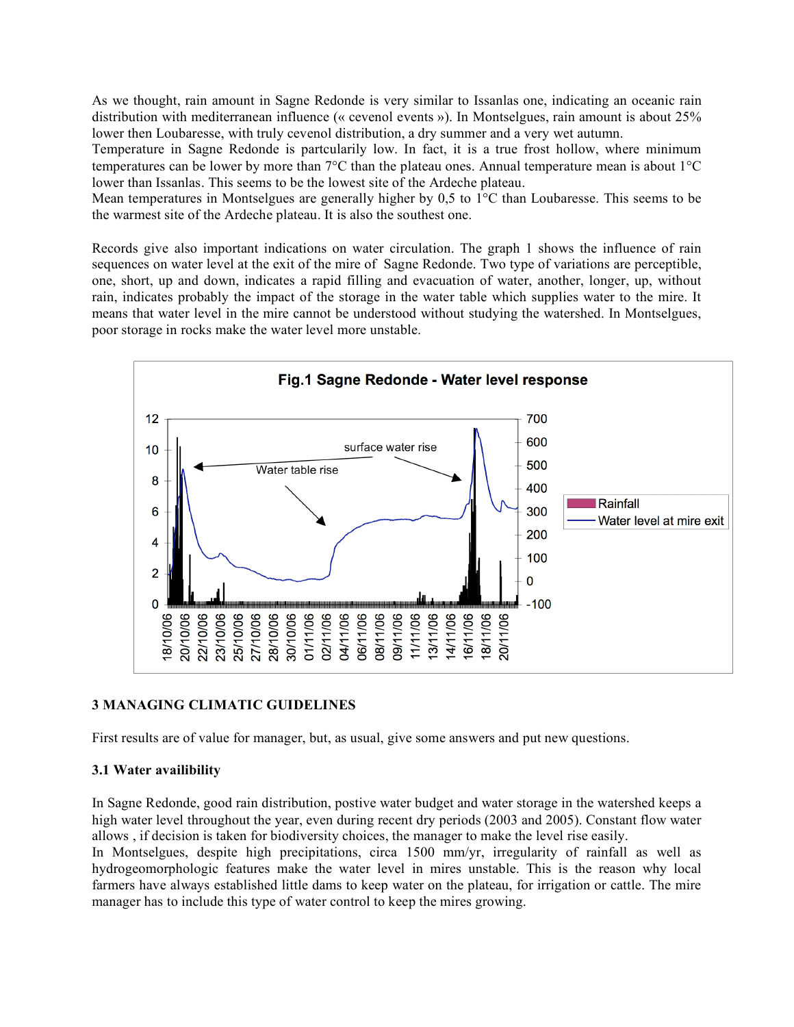As we thought, rain amount in Sagne Redonde is very similar to Issanlas one, indicating an oceanic rain distribution with mediterranean influence (« cevenol events »). In Montselgues, rain amount is about 25% lower then Loubaresse, with truly cevenol distribution, a dry summer and a very wet autumn.

Temperature in Sagne Redonde is partcularily low. In fact, it is a true frost hollow, where minimum temperatures can be lower by more than 7°C than the plateau ones. Annual temperature mean is about 1°C lower than Issanlas. This seems to be the lowest site of the Ardeche plateau.

Mean temperatures in Montselgues are generally higher by 0,5 to 1°C than Loubaresse. This seems to be the warmest site of the Ardeche plateau. It is also the southest one.

Records give also important indications on water circulation. The graph 1 shows the influence of rain sequences on water level at the exit of the mire of Sagne Redonde. Two type of variations are perceptible, one, short, up and down, indicates a rapid filling and evacuation of water, another, longer, up, without rain, indicates probably the impact of the storage in the water table which supplies water to the mire. It means that water level in the mire cannot be understood without studying the watershed. In Montselgues, poor storage in rocks make the water level more unstable.



## **3 MANAGING CLIMATIC GUIDELINES**

First results are of value for manager, but, as usual, give some answers and put new questions.

## **3.1 Water availibility**

In Sagne Redonde, good rain distribution, postive water budget and water storage in the watershed keeps a high water level throughout the year, even during recent dry periods (2003 and 2005). Constant flow water allows , if decision is taken for biodiversity choices, the manager to make the level rise easily.

In Montselgues, despite high precipitations, circa 1500 mm/yr, irregularity of rainfall as well as hydrogeomorphologic features make the water level in mires unstable. This is the reason why local farmers have always established little dams to keep water on the plateau, for irrigation or cattle. The mire manager has to include this type of water control to keep the mires growing.